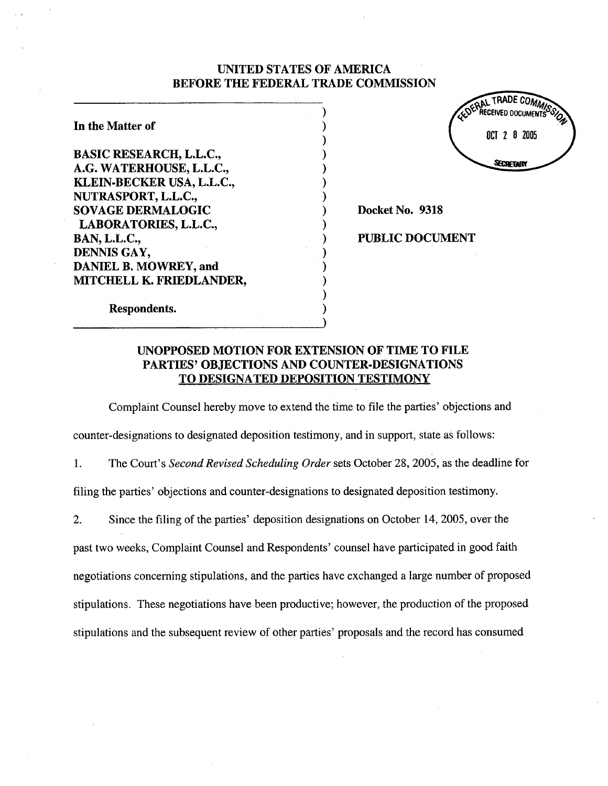## UNTED STATES OF AMERICA BEFORE THE FEDERAL TRADE COMMISSION

) ) ) ) ) ) ) ) ) ) ) ) ) ) ) )

In the Matter of

BASIC RESEARCH, L.L.C., A.G. WATERHOUSE, L.L.C., KLEIN~BECKER USA, L.L.C., NUTRASPORT, L.L.C., SOVAGE DERMALOGIC LABORA TORIES, L.L.C., BAN, L.L.C., DENNIS GAY, DANIEL B. MOWREY, and MITCHELL K. FRIEDLANDER, AL TRADE COMMI ...<br>Received documents OCT 2 8 2005 SECRETARY

Docket No. 9318

PUBLIC DOCUMENT

Respondents.

# UNOPPOSED MOTION FOR EXTENSION OF TIME TO FILE PARTIES' OBJECTIONS AND COUNTER-DESIGNATIONS TO DESIGNATED DEPOSITION TESTIMONY

Complaint Counsel hereby move to extend the time to file the parties' objections and

counter-designations to designated deposition testimony, and in support, state as follows:

1. The Court's Second Revised Scheduling Order sets October 28,2005, as the deadline for

filing the parties' objections and counter-designations to designated depositon testimony.

2. Since the filing of the parties' deposition designations on October 14, 2005, over the

past two weeks, Complaint Counsel and Respondents' counsel have paricipated in good faith

negotiations concerning stipulations, and the paries have exchanged a large number of proposed

stipulations. These negotiations have been productive; however, the production of the proposed

stipulations and the subsequent review of other paries' proposals and the record has consumed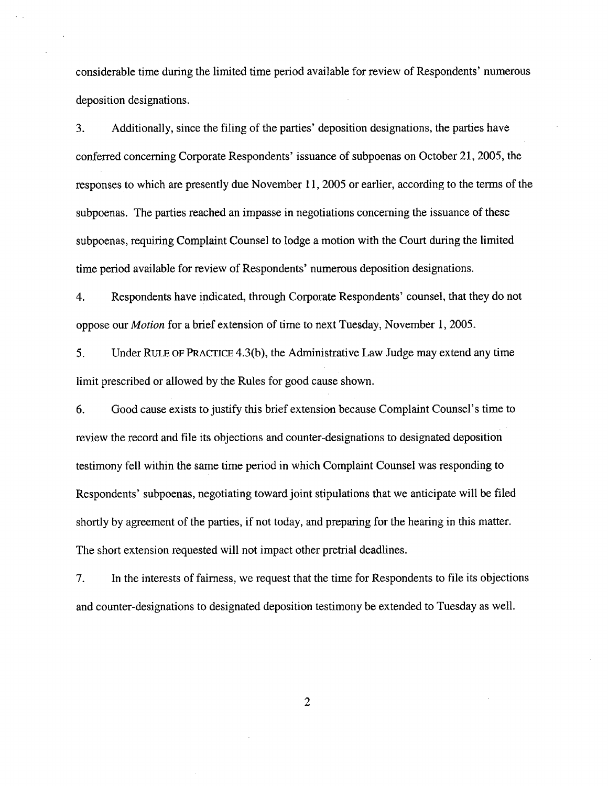considerable time during the limited time period available for review of Respondents' numerous deposition designations.

3. Additionally, since the filng of the paries' deposition designations, the paries have conferred concerning Corporate Respondents' issuance of subpoenas on October 21,2005, the responses to which are presently due November 11, 2005 or earlier, according to the terms of the subpoenas. The parties reached an impasse in negotiations concerning the issuance of these subpoenas, requiring Complaint Counsel to lodge a motion with the Court during the limited time period available for review of Respondents' numerous deposition designations.

4. Respondents have indicated, through Corporate Respondents' counsel, that they do not oppose our Motion for a brief extension of time to next Tuesday, November 1, 2005.

5. Under RULE OF PRCTICE 4.3(b), the Administrative Law Judge may extend any time limit prescribed or allowed by the Rules for good cause shown.

6. Good cause exists to justify this brief extension because Complaint Counsel's time to review the record and fie its objections and counter-designations to designated deposition testimony fell within the same time period in which Complaint Counsel was responding to Respondents' subpoenas, negotiating toward joint stipulations that we anticipate wîl be filed shortly by agreement of the paries, if not today, and preparng for the hearng in this matter. The short extension requested will not impact other pretrial deadlines.

7. In the interests of fairness, we request that the time for Respondents to fie its objections and counter-designations to designated deposition testimony be extended to Tuesday as well.

2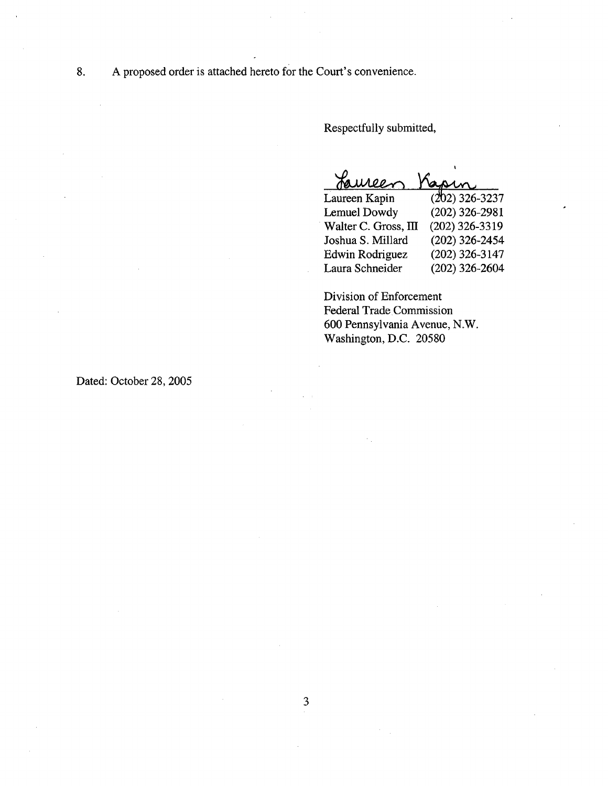8. A proposed order is attached hereto for the Court's convenience.

Respectfully submitted,

<u>faure</u><br>Laureen Ka

| raureer              | usin.            |
|----------------------|------------------|
| Laureen Kapin        | $(202)$ 326-3237 |
| Lemuel Dowdy         | $(202)$ 326-2981 |
| Walter C. Gross, III | (202) 326-3319   |
| Joshua S. Millard    | $(202)$ 326-2454 |
| Edwin Rodriguez      | $(202)$ 326-3147 |
| Laura Schneider      | $(202)$ 326-2604 |
|                      |                  |

Division of Enforcement Federal Trade Commission 600 Pennsylvania Avenue, N.W. Washington, D.C. 20580

Dated: October 28, 2005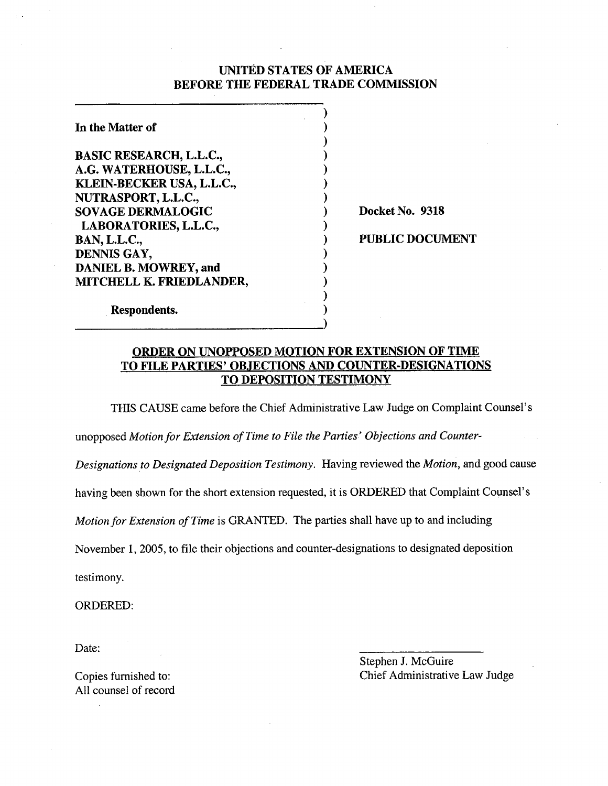## UNITED STATES OF AMERICA BEFORE THE FEDERAL TRADE COMMSSION

| In the Matter of               |                        |
|--------------------------------|------------------------|
| <b>BASIC RESEARCH, L.L.C.,</b> |                        |
| A.G. WATERHOUSE, L.L.C.,       |                        |
| KLEIN-BECKER USA, L.L.C.,      |                        |
| NUTRASPORT, L.L.C.,            |                        |
| <b>SOVAGE DERMALOGIC</b>       | Docket No. 9318        |
| LABORATORIES, L.L.C.,          |                        |
| <b>BAN, L.L.C.,</b>            | <b>PUBLIC DOCUMENT</b> |
| DENNIS GAY,                    |                        |
| DANIEL B. MOWREY, and          |                        |
| MITCHELL K. FRIEDLANDER,       |                        |
|                                |                        |
| Respondents.                   |                        |

ORDER ON UNOPPOSED MOTION FOR EXTENSION OF TIME TO FILE PARTIES' OBJECTIONS AND COUNTER-DESIGNATIONS TO DEPOSITION TESTIMONY

THIS CAUSE came before the Chief Administrative Law Judge on Complaint Counsel's

)

unopposed Motion for Extension of Time to File the Parties' Objections and Counter-

Designations to Designated Deposition Testimony. Having reviewed the Motion, and good cause

having been shown for the short extension requested, it is ORDERED that Complaint Counsel's

Motion for Extension of Time is GRANTED. The parties shall have up to and including

November 1,2005, to file their objections and counter-designations to designated deposition

testimony.

ORDERED:

Date:

Copies furnished to: All counsel of record Stephen J. McGuire Chief Administrative Law Judge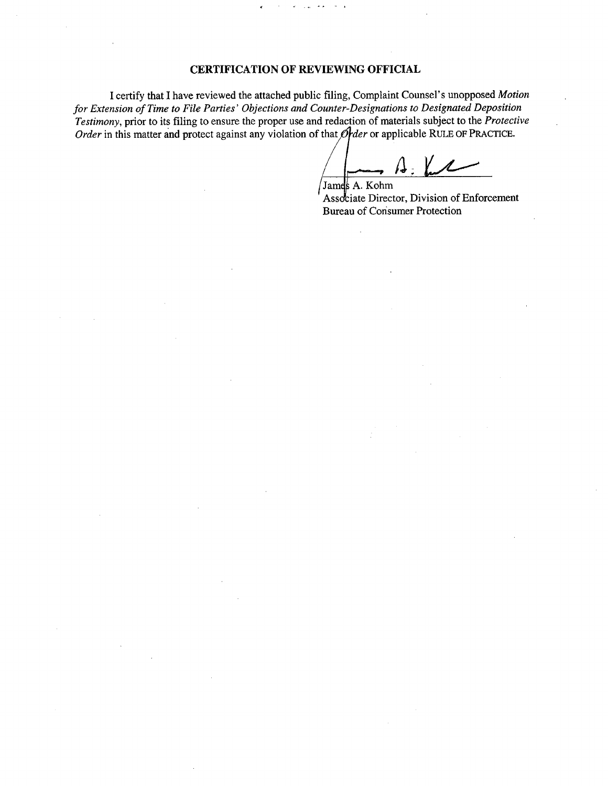## CERTIFICATION OF REVIEWING OFFICIAL

I certify that I have reviewed the attached public fiing, Complaint Counsel's unopposed Motion for Extension of Time to File Parties' Objections and Counter~Designations to Designated Deposition Testimony, prior to its filing to ensure the proper use and redaction of materials subject to the Protective Order in this matter and protect against any violation of that  $\mathcal{O}$  der or applicable RULE OF PRACTICE.

 $\prime$  . James A. Kohm

Associate Director, Division of Enforcement Bureau of Consumer Protection